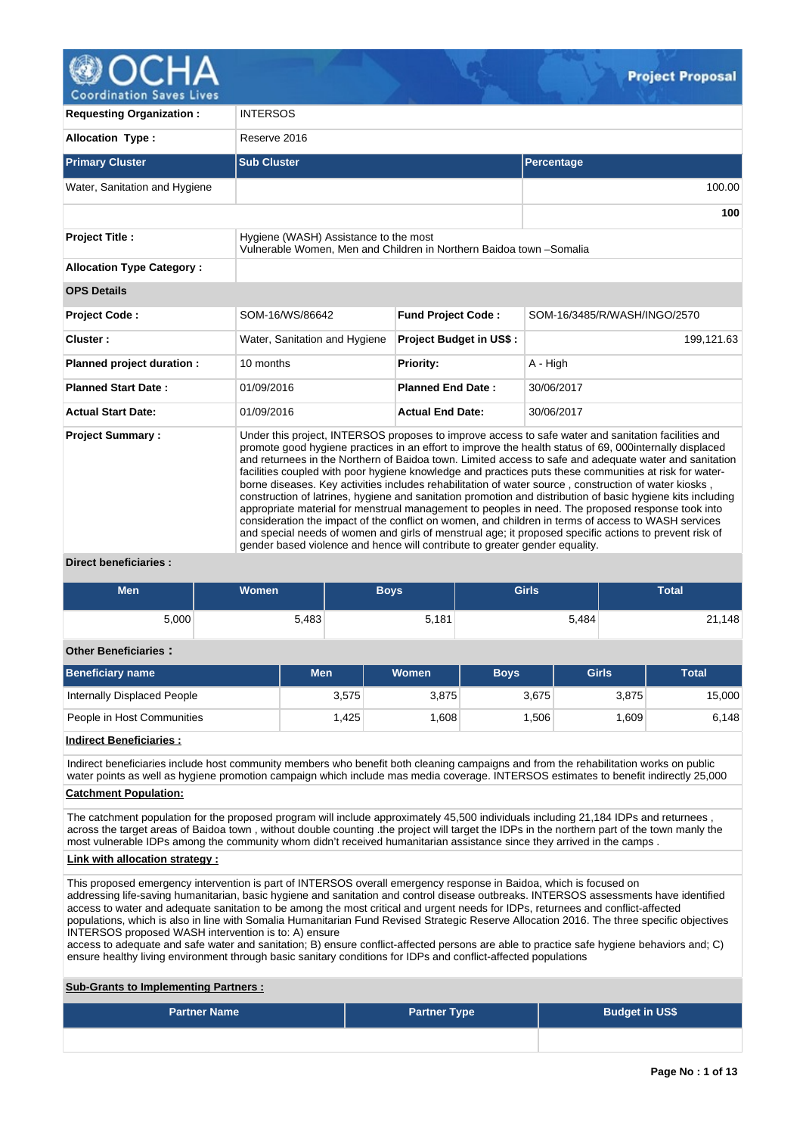

| <b>Requesting Organization:</b>                                                                                                       | <b>INTERSOS</b>                                                                                                                                                                                                                                                                                                                                                                                                                                                                                                                                                                                                                                                                                                                                                                                                                                                                                                                                                                                                                                                 |                                |                              |  |  |  |  |  |
|---------------------------------------------------------------------------------------------------------------------------------------|-----------------------------------------------------------------------------------------------------------------------------------------------------------------------------------------------------------------------------------------------------------------------------------------------------------------------------------------------------------------------------------------------------------------------------------------------------------------------------------------------------------------------------------------------------------------------------------------------------------------------------------------------------------------------------------------------------------------------------------------------------------------------------------------------------------------------------------------------------------------------------------------------------------------------------------------------------------------------------------------------------------------------------------------------------------------|--------------------------------|------------------------------|--|--|--|--|--|
| <b>Allocation Type:</b>                                                                                                               | Reserve 2016                                                                                                                                                                                                                                                                                                                                                                                                                                                                                                                                                                                                                                                                                                                                                                                                                                                                                                                                                                                                                                                    |                                |                              |  |  |  |  |  |
| <b>Primary Cluster</b>                                                                                                                | <b>Sub Cluster</b>                                                                                                                                                                                                                                                                                                                                                                                                                                                                                                                                                                                                                                                                                                                                                                                                                                                                                                                                                                                                                                              | Percentage                     |                              |  |  |  |  |  |
| Water, Sanitation and Hygiene                                                                                                         |                                                                                                                                                                                                                                                                                                                                                                                                                                                                                                                                                                                                                                                                                                                                                                                                                                                                                                                                                                                                                                                                 |                                | 100.00                       |  |  |  |  |  |
|                                                                                                                                       |                                                                                                                                                                                                                                                                                                                                                                                                                                                                                                                                                                                                                                                                                                                                                                                                                                                                                                                                                                                                                                                                 |                                | 100                          |  |  |  |  |  |
| <b>Project Title:</b><br>Hygiene (WASH) Assistance to the most<br>Vulnerable Women. Men and Children in Northern Baidoa town -Somalia |                                                                                                                                                                                                                                                                                                                                                                                                                                                                                                                                                                                                                                                                                                                                                                                                                                                                                                                                                                                                                                                                 |                                |                              |  |  |  |  |  |
| <b>Allocation Type Category:</b>                                                                                                      |                                                                                                                                                                                                                                                                                                                                                                                                                                                                                                                                                                                                                                                                                                                                                                                                                                                                                                                                                                                                                                                                 |                                |                              |  |  |  |  |  |
| <b>OPS Details</b>                                                                                                                    |                                                                                                                                                                                                                                                                                                                                                                                                                                                                                                                                                                                                                                                                                                                                                                                                                                                                                                                                                                                                                                                                 |                                |                              |  |  |  |  |  |
| <b>Project Code:</b>                                                                                                                  | SOM-16/WS/86642                                                                                                                                                                                                                                                                                                                                                                                                                                                                                                                                                                                                                                                                                                                                                                                                                                                                                                                                                                                                                                                 | <b>Fund Project Code:</b>      | SOM-16/3485/R/WASH/INGO/2570 |  |  |  |  |  |
| Cluster:                                                                                                                              | Water, Sanitation and Hygiene                                                                                                                                                                                                                                                                                                                                                                                                                                                                                                                                                                                                                                                                                                                                                                                                                                                                                                                                                                                                                                   | <b>Project Budget in US\$:</b> | 199,121.63                   |  |  |  |  |  |
| Planned project duration :                                                                                                            | 10 months                                                                                                                                                                                                                                                                                                                                                                                                                                                                                                                                                                                                                                                                                                                                                                                                                                                                                                                                                                                                                                                       | <b>Priority:</b>               | A - High                     |  |  |  |  |  |
| <b>Planned Start Date:</b>                                                                                                            | 01/09/2016                                                                                                                                                                                                                                                                                                                                                                                                                                                                                                                                                                                                                                                                                                                                                                                                                                                                                                                                                                                                                                                      | <b>Planned End Date:</b>       | 30/06/2017                   |  |  |  |  |  |
| <b>Actual Start Date:</b>                                                                                                             | 01/09/2016                                                                                                                                                                                                                                                                                                                                                                                                                                                                                                                                                                                                                                                                                                                                                                                                                                                                                                                                                                                                                                                      | <b>Actual End Date:</b>        | 30/06/2017                   |  |  |  |  |  |
| <b>Project Summary:</b>                                                                                                               | Under this project, INTERSOS proposes to improve access to safe water and sanitation facilities and<br>promote good hygiene practices in an effort to improve the health status of 69, 000internally displaced<br>and returnees in the Northern of Baidoa town. Limited access to safe and adequate water and sanitation<br>facilities coupled with poor hygiene knowledge and practices puts these communities at risk for water-<br>borne diseases. Key activities includes rehabilitation of water source, construction of water kiosks,<br>construction of latrines, hygiene and sanitation promotion and distribution of basic hygiene kits including<br>appropriate material for menstrual management to peoples in need. The proposed response took into<br>consideration the impact of the conflict on women, and children in terms of access to WASH services<br>and special needs of women and girls of menstrual age; it proposed specific actions to prevent risk of<br>gender based violence and hence will contribute to greater gender equality. |                                |                              |  |  |  |  |  |

#### **Direct beneficiaries :**

| <b>Men</b> | <b>Women</b> | <b>Boys</b> | <b>Girls</b> | Total  |
|------------|--------------|-------------|--------------|--------|
| 5,000      | 5,483        | 5,181       | 5,484        | 21,148 |

#### **Other Beneficiaries :**

| Beneficiary name            | <b>Men</b> | <b>Women</b> | <b>Boys</b> | Girls | <b>Total</b> |
|-----------------------------|------------|--------------|-------------|-------|--------------|
| Internally Displaced People | 3,575      | 3,875        | 3,675       | 3,875 | 15,000       |
| People in Host Communities  | .425       | .608         | .506        | .609  | 6,148        |

#### **Indirect Beneficiaries :**

Indirect beneficiaries include host community members who benefit both cleaning campaigns and from the rehabilitation works on public water points as well as hygiene promotion campaign which include mas media coverage. INTERSOS estimates to benefit indirectly 25,000

### **Catchment Population:**

The catchment population for the proposed program will include approximately 45,500 individuals including 21,184 IDPs and returnees across the target areas of Baidoa town , without double counting .the project will target the IDPs in the northern part of the town manly the most vulnerable IDPs among the community whom didn't received humanitarian assistance since they arrived in the camps .

### **Link with allocation strategy :**

This proposed emergency intervention is part of INTERSOS overall emergency response in Baidoa, which is focused on addressing life-saving humanitarian, basic hygiene and sanitation and control disease outbreaks. INTERSOS assessments have identified access to water and adequate sanitation to be among the most critical and urgent needs for IDPs, returnees and conflict-affected populations, which is also in line with Somalia Humanitarian Fund Revised Strategic Reserve Allocation 2016. The three specific objectives INTERSOS proposed WASH intervention is to: A) ensure

access to adequate and safe water and sanitation; B) ensure conflict-affected persons are able to practice safe hygiene behaviors and; C) ensure healthy living environment through basic sanitary conditions for IDPs and conflict-affected populations

# **Sub-Grants to Implementing Partners :**

| <b>Partner Name</b> | <b>Partner Type</b> | <b>Budget in US\$</b> |
|---------------------|---------------------|-----------------------|
|                     |                     |                       |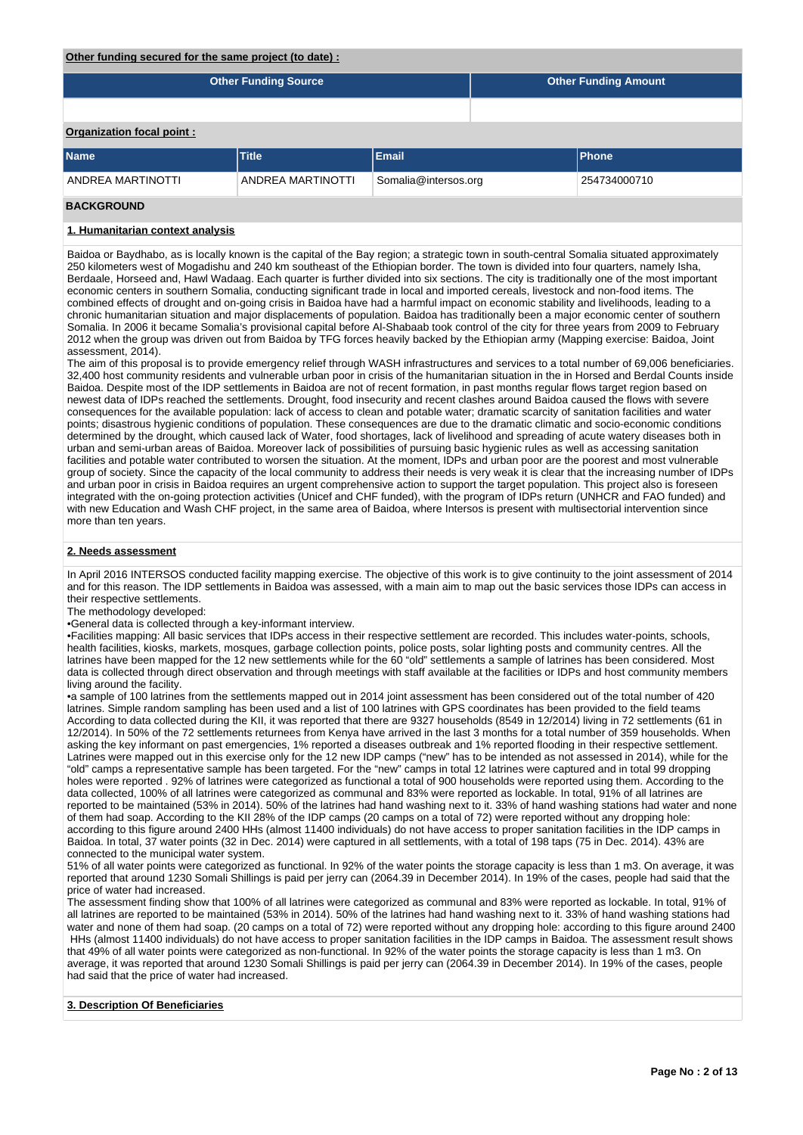#### **Other funding secured for the same project (to date) :**

|                           | <b>Other Funding Source</b> | <b>Other Funding Amount</b> |  |               |  |  |
|---------------------------|-----------------------------|-----------------------------|--|---------------|--|--|
|                           |                             |                             |  |               |  |  |
| Organization focal point: |                             |                             |  |               |  |  |
| <b>Name</b>               | <b>Title</b>                | Email                       |  | <b>IPhone</b> |  |  |
| ANDREA MARTINOTTI         | ANDREA MARTINOTTI           | Somalia@intersos.org        |  | 254734000710  |  |  |

# **BACKGROUND**

#### **1. Humanitarian context analysis**

Baidoa or Baydhabo, as is locally known is the capital of the Bay region; a strategic town in south-central Somalia situated approximately 250 kilometers west of Mogadishu and 240 km southeast of the Ethiopian border. The town is divided into four quarters, namely Isha, Berdaale, Horseed and, Hawl Wadaag. Each quarter is further divided into six sections. The city is traditionally one of the most important economic centers in southern Somalia, conducting significant trade in local and imported cereals, livestock and non-food items. The combined effects of drought and on-going crisis in Baidoa have had a harmful impact on economic stability and livelihoods, leading to a chronic humanitarian situation and major displacements of population. Baidoa has traditionally been a major economic center of southern Somalia. In 2006 it became Somalia's provisional capital before Al-Shabaab took control of the city for three years from 2009 to February 2012 when the group was driven out from Baidoa by TFG forces heavily backed by the Ethiopian army (Mapping exercise: Baidoa, Joint assessment, 2014).

The aim of this proposal is to provide emergency relief through WASH infrastructures and services to a total number of 69,006 beneficiaries. 32,400 host community residents and vulnerable urban poor in crisis of the humanitarian situation in the in Horsed and Berdal Counts inside Baidoa. Despite most of the IDP settlements in Baidoa are not of recent formation, in past months regular flows target region based on newest data of IDPs reached the settlements. Drought, food insecurity and recent clashes around Baidoa caused the flows with severe consequences for the available population: lack of access to clean and potable water; dramatic scarcity of sanitation facilities and water points; disastrous hygienic conditions of population. These consequences are due to the dramatic climatic and socio-economic conditions determined by the drought, which caused lack of Water, food shortages, lack of livelihood and spreading of acute watery diseases both in urban and semi-urban areas of Baidoa. Moreover lack of possibilities of pursuing basic hygienic rules as well as accessing sanitation facilities and potable water contributed to worsen the situation. At the moment, IDPs and urban poor are the poorest and most vulnerable group of society. Since the capacity of the local community to address their needs is very weak it is clear that the increasing number of IDPs and urban poor in crisis in Baidoa requires an urgent comprehensive action to support the target population. This project also is foreseen integrated with the on-going protection activities (Unicef and CHF funded), with the program of IDPs return (UNHCR and FAO funded) and with new Education and Wash CHF project, in the same area of Baidoa, where Intersos is present with multisectorial intervention since more than ten years.

#### **2. Needs assessment**

In April 2016 INTERSOS conducted facility mapping exercise. The objective of this work is to give continuity to the joint assessment of 2014 and for this reason. The IDP settlements in Baidoa was assessed, with a main aim to map out the basic services those IDPs can access in their respective settlements.

#### The methodology developed:

•General data is collected through a key-informant interview.

•Facilities mapping: All basic services that IDPs access in their respective settlement are recorded. This includes water-points, schools, health facilities, kiosks, markets, mosques, garbage collection points, police posts, solar lighting posts and community centres. All the latrines have been mapped for the 12 new settlements while for the 60 "old" settlements a sample of latrines has been considered. Most data is collected through direct observation and through meetings with staff available at the facilities or IDPs and host community members living around the facility.

•a sample of 100 latrines from the settlements mapped out in 2014 joint assessment has been considered out of the total number of 420 latrines. Simple random sampling has been used and a list of 100 latrines with GPS coordinates has been provided to the field teams According to data collected during the KII, it was reported that there are 9327 households (8549 in 12/2014) living in 72 settlements (61 in 12/2014). In 50% of the 72 settlements returnees from Kenya have arrived in the last 3 months for a total number of 359 households. When asking the key informant on past emergencies, 1% reported a diseases outbreak and 1% reported flooding in their respective settlement. Latrines were mapped out in this exercise only for the 12 new IDP camps ("new" has to be intended as not assessed in 2014), while for the "old" camps a representative sample has been targeted. For the "new" camps in total 12 latrines were captured and in total 99 dropping holes were reported . 92% of latrines were categorized as functional a total of 900 households were reported using them. According to the data collected, 100% of all latrines were categorized as communal and 83% were reported as lockable. In total, 91% of all latrines are reported to be maintained (53% in 2014). 50% of the latrines had hand washing next to it. 33% of hand washing stations had water and none of them had soap. According to the KII 28% of the IDP camps (20 camps on a total of 72) were reported without any dropping hole: according to this figure around 2400 HHs (almost 11400 individuals) do not have access to proper sanitation facilities in the IDP camps in Baidoa. In total, 37 water points (32 in Dec. 2014) were captured in all settlements, with a total of 198 taps (75 in Dec. 2014). 43% are connected to the municipal water system.

51% of all water points were categorized as functional. In 92% of the water points the storage capacity is less than 1 m3. On average, it was reported that around 1230 Somali Shillings is paid per jerry can (2064.39 in December 2014). In 19% of the cases, people had said that the price of water had increased.

The assessment finding show that 100% of all latrines were categorized as communal and 83% were reported as lockable. In total, 91% of all latrines are reported to be maintained (53% in 2014). 50% of the latrines had hand washing next to it. 33% of hand washing stations had water and none of them had soap. (20 camps on a total of 72) were reported without any dropping hole: according to this figure around 2400 HHs (almost 11400 individuals) do not have access to proper sanitation facilities in the IDP camps in Baidoa. The assessment result shows that 49% of all water points were categorized as non-functional. In 92% of the water points the storage capacity is less than 1 m3. On average, it was reported that around 1230 Somali Shillings is paid per jerry can (2064.39 in December 2014). In 19% of the cases, people had said that the price of water had increased.

#### **3. Description Of Beneficiaries**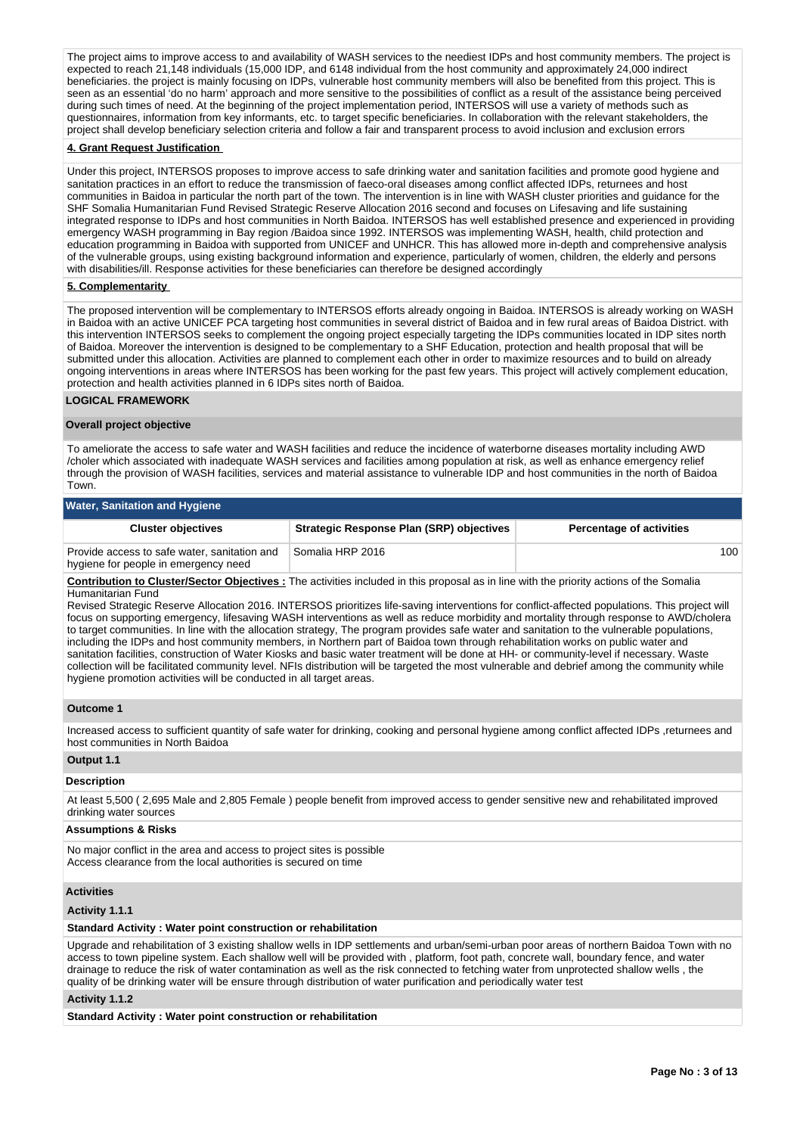The project aims to improve access to and availability of WASH services to the neediest IDPs and host community members. The project is expected to reach 21,148 individuals (15,000 IDP, and 6148 individual from the host community and approximately 24,000 indirect beneficiaries. the project is mainly focusing on IDPs, vulnerable host community members will also be benefited from this project. This is seen as an essential 'do no harm' approach and more sensitive to the possibilities of conflict as a result of the assistance being perceived during such times of need. At the beginning of the project implementation period, INTERSOS will use a variety of methods such as questionnaires, information from key informants, etc. to target specific beneficiaries. In collaboration with the relevant stakeholders, the project shall develop beneficiary selection criteria and follow a fair and transparent process to avoid inclusion and exclusion errors

### **4. Grant Request Justification**

Under this project, INTERSOS proposes to improve access to safe drinking water and sanitation facilities and promote good hygiene and sanitation practices in an effort to reduce the transmission of faeco-oral diseases among conflict affected IDPs, returnees and host communities in Baidoa in particular the north part of the town. The intervention is in line with WASH cluster priorities and guidance for the SHF Somalia Humanitarian Fund Revised Strategic Reserve Allocation 2016 second and focuses on Lifesaving and life sustaining integrated response to IDPs and host communities in North Baidoa. INTERSOS has well established presence and experienced in providing emergency WASH programming in Bay region /Baidoa since 1992. INTERSOS was implementing WASH, health, child protection and education programming in Baidoa with supported from UNICEF and UNHCR. This has allowed more in-depth and comprehensive analysis of the vulnerable groups, using existing background information and experience, particularly of women, children, the elderly and persons with disabilities/ill. Response activities for these beneficiaries can therefore be designed accordingly

### **5. Complementarity**

The proposed intervention will be complementary to INTERSOS efforts already ongoing in Baidoa. INTERSOS is already working on WASH in Baidoa with an active UNICEF PCA targeting host communities in several district of Baidoa and in few rural areas of Baidoa District. with this intervention INTERSOS seeks to complement the ongoing project especially targeting the IDPs communities located in IDP sites north of Baidoa. Moreover the intervention is designed to be complementary to a SHF Education, protection and health proposal that will be submitted under this allocation. Activities are planned to complement each other in order to maximize resources and to build on already ongoing interventions in areas where INTERSOS has been working for the past few years. This project will actively complement education, protection and health activities planned in 6 IDPs sites north of Baidoa.

#### **LOGICAL FRAMEWORK**

#### **Overall project objective**

To ameliorate the access to safe water and WASH facilities and reduce the incidence of waterborne diseases mortality including AWD /choler which associated with inadequate WASH services and facilities among population at risk, as well as enhance emergency relief through the provision of WASH facilities, services and material assistance to vulnerable IDP and host communities in the north of Baidoa Town.

# **Water, Sanitation and Hygiene**

| <b>Cluster objectives</b>                                                            | <b>Strategic Response Plan (SRP) objectives</b> | <b>Percentage of activities</b> |  |
|--------------------------------------------------------------------------------------|-------------------------------------------------|---------------------------------|--|
| Provide access to safe water, sanitation and<br>hygiene for people in emergency need | Somalia HRP 2016                                | 100                             |  |

**Contribution to Cluster/Sector Objectives :** The activities included in this proposal as in line with the priority actions of the Somalia Humanitarian Fund

Revised Strategic Reserve Allocation 2016. INTERSOS prioritizes life-saving interventions for conflict-affected populations. This project will focus on supporting emergency, lifesaving WASH interventions as well as reduce morbidity and mortality through response to AWD/cholera to target communities. In line with the allocation strategy, The program provides safe water and sanitation to the vulnerable populations, including the IDPs and host community members, in Northern part of Baidoa town through rehabilitation works on public water and sanitation facilities, construction of Water Kiosks and basic water treatment will be done at HH- or community-level if necessary. Waste collection will be facilitated community level. NFIs distribution will be targeted the most vulnerable and debrief among the community while hygiene promotion activities will be conducted in all target areas.

#### **Outcome 1**

Increased access to sufficient quantity of safe water for drinking, cooking and personal hygiene among conflict affected IDPs ,returnees and host communities in North Baidoa

# **Output 1.1**

#### **Description**

At least 5,500 ( 2,695 Male and 2,805 Female ) people benefit from improved access to gender sensitive new and rehabilitated improved drinking water sources

### **Assumptions & Risks**

No major conflict in the area and access to project sites is possible Access clearance from the local authorities is secured on time

### **Activities**

#### **Activity 1.1.1**

#### **Standard Activity : Water point construction or rehabilitation**

Upgrade and rehabilitation of 3 existing shallow wells in IDP settlements and urban/semi-urban poor areas of northern Baidoa Town with no access to town pipeline system. Each shallow well will be provided with , platform, foot path, concrete wall, boundary fence, and water drainage to reduce the risk of water contamination as well as the risk connected to fetching water from unprotected shallow wells , the quality of be drinking water will be ensure through distribution of water purification and periodically water test

# **Activity 1.1.2**

**Standard Activity : Water point construction or rehabilitation**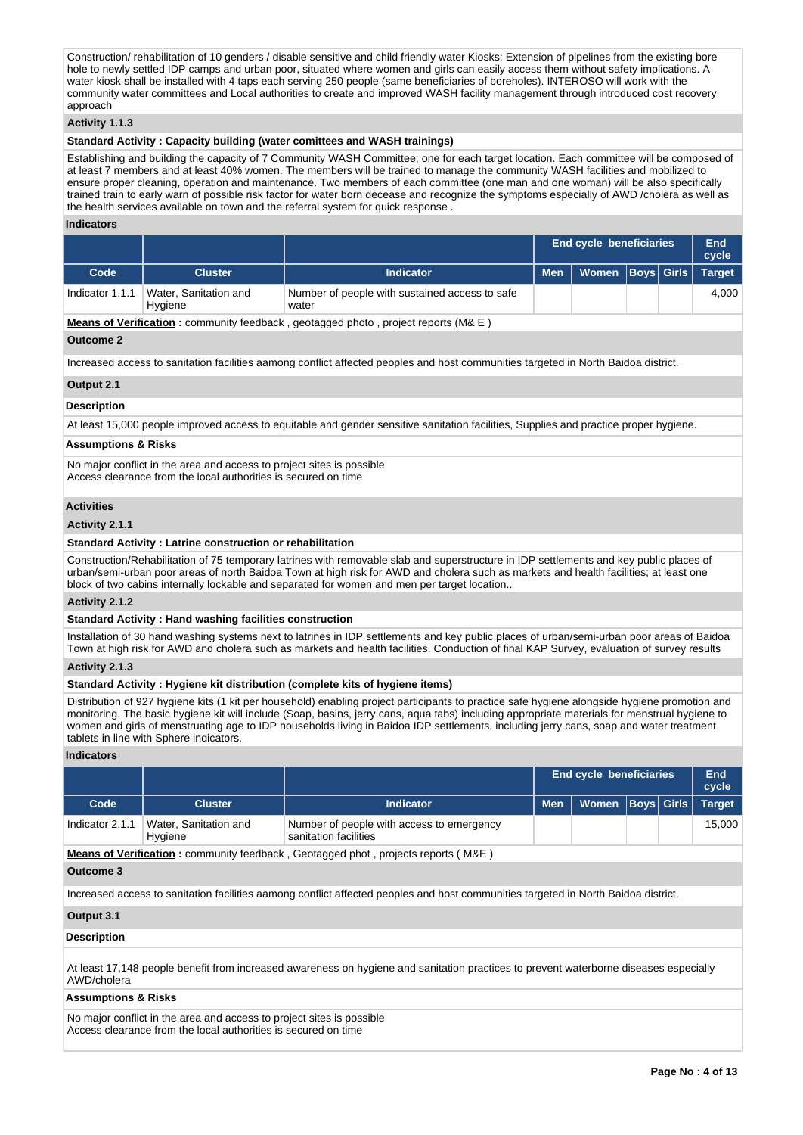Construction/ rehabilitation of 10 genders / disable sensitive and child friendly water Kiosks: Extension of pipelines from the existing bore hole to newly settled IDP camps and urban poor, situated where women and girls can easily access them without safety implications. A water kiosk shall be installed with 4 taps each serving 250 people (same beneficiaries of boreholes). INTEROSO will work with the community water committees and Local authorities to create and improved WASH facility management through introduced cost recovery approach

### **Activity 1.1.3**

# **Standard Activity : Capacity building (water comittees and WASH trainings)**

Establishing and building the capacity of 7 Community WASH Committee; one for each target location. Each committee will be composed of at least 7 members and at least 40% women. The members will be trained to manage the community WASH facilities and mobilized to ensure proper cleaning, operation and maintenance. Two members of each committee (one man and one woman) will be also specifically trained train to early warn of possible risk factor for water born decease and recognize the symptoms especially of AWD /cholera as well as the health services available on town and the referral system for quick response .

#### **Indicators**

|                 |                                  |                                                         | <b>End cycle beneficiaries</b>      |  | End<br>cycle |
|-----------------|----------------------------------|---------------------------------------------------------|-------------------------------------|--|--------------|
| Code            | <b>Cluster</b>                   | <b>Indicator</b>                                        | Men   Women   Boys   Girls   Target |  |              |
| Indicator 1.1.1 | Water, Sanitation and<br>Hygiene | Number of people with sustained access to safe<br>water |                                     |  | 4.000        |

**Means of Verification :** community feedback , geotagged photo , project reports (M& E )

#### **Outcome 2**

Increased access to sanitation facilities aamong conflict affected peoples and host communities targeted in North Baidoa district.

#### **Output 2.1**

### **Description**

At least 15,000 people improved access to equitable and gender sensitive sanitation facilities, Supplies and practice proper hygiene.

#### **Assumptions & Risks**

No major conflict in the area and access to project sites is possible Access clearance from the local authorities is secured on time

### **Activities**

### **Activity 2.1.1**

### **Standard Activity : Latrine construction or rehabilitation**

Construction/Rehabilitation of 75 temporary latrines with removable slab and superstructure in IDP settlements and key public places of urban/semi-urban poor areas of north Baidoa Town at high risk for AWD and cholera such as markets and health facilities; at least one block of two cabins internally lockable and separated for women and men per target location..

### **Activity 2.1.2**

### **Standard Activity : Hand washing facilities construction**

Installation of 30 hand washing systems next to latrines in IDP settlements and key public places of urban/semi-urban poor areas of Baidoa Town at high risk for AWD and cholera such as markets and health facilities. Conduction of final KAP Survey, evaluation of survey results

### **Activity 2.1.3**

# **Standard Activity : Hygiene kit distribution (complete kits of hygiene items)**

Distribution of 927 hygiene kits (1 kit per household) enabling project participants to practice safe hygiene alongside hygiene promotion and monitoring. The basic hygiene kit will include (Soap, basins, jerry cans, aqua tabs) including appropriate materials for menstrual hygiene to women and girls of menstruating age to IDP households living in Baidoa IDP settlements, including jerry cans, soap and water treatment tablets in line with Sphere indicators.

#### **Indicators**

|                                                                                                                                     |                |                  |            | <b>End cycle beneficiaries</b> |  |  | End<br>cycle |  |
|-------------------------------------------------------------------------------------------------------------------------------------|----------------|------------------|------------|--------------------------------|--|--|--------------|--|
| Code                                                                                                                                | <b>Cluster</b> | <b>Indicator</b> | <b>Men</b> | Women   Boys   Girls           |  |  | Target       |  |
| Water, Sanitation and<br>Number of people with access to emergency<br>Indicator 2.1.1<br>15.000<br>sanitation facilities<br>Hygiene |                |                  |            |                                |  |  |              |  |
| <b>Means of Verification</b> : community feedback, Centergood phot, projects reports ( $MRF$ )                                      |                |                  |            |                                |  |  |              |  |

**Means of Verification :** community feedback , Geotagged phot , projects reports ( M&E )

#### **Outcome 3**

Increased access to sanitation facilities aamong conflict affected peoples and host communities targeted in North Baidoa district.

### **Output 3.1**

#### **Description**

At least 17,148 people benefit from increased awareness on hygiene and sanitation practices to prevent waterborne diseases especially AWD/cholera

### **Assumptions & Risks**

No major conflict in the area and access to project sites is possible Access clearance from the local authorities is secured on time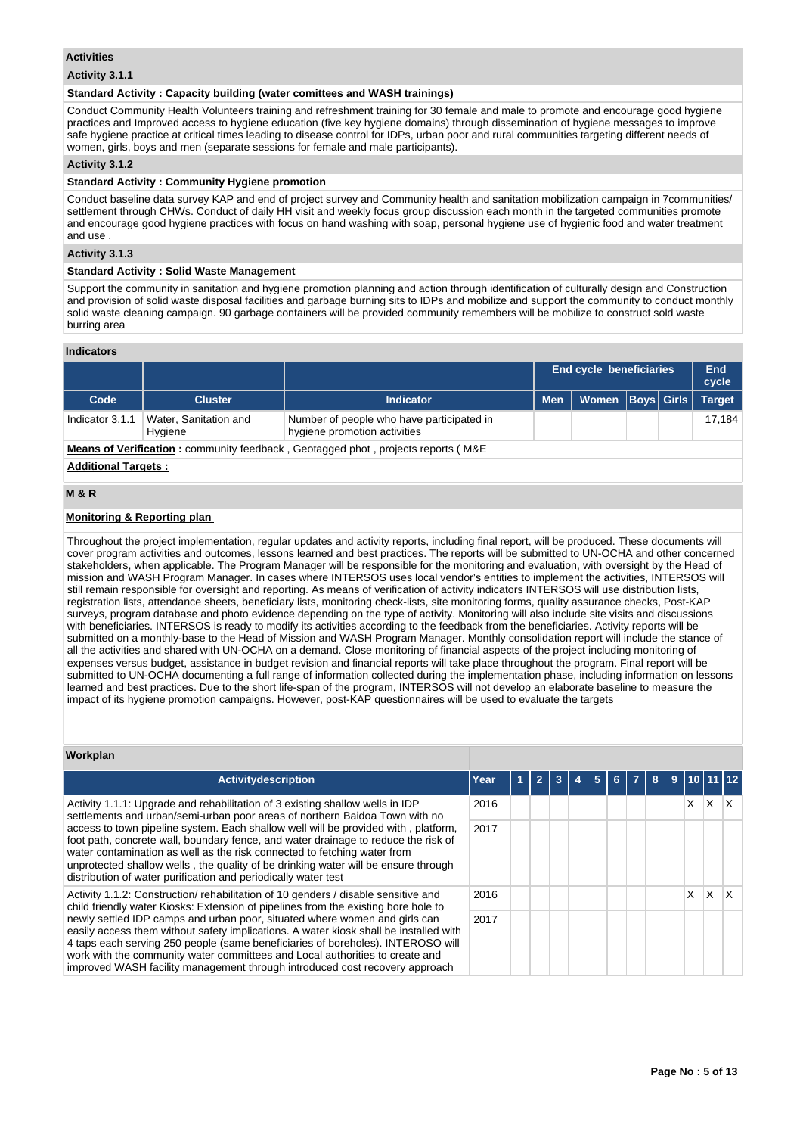### **Activities**

### **Activity 3.1.1**

### **Standard Activity : Capacity building (water comittees and WASH trainings)**

Conduct Community Health Volunteers training and refreshment training for 30 female and male to promote and encourage good hygiene practices and Improved access to hygiene education (five key hygiene domains) through dissemination of hygiene messages to improve safe hygiene practice at critical times leading to disease control for IDPs, urban poor and rural communities targeting different needs of women, girls, boys and men (separate sessions for female and male participants).

### **Activity 3.1.2**

### **Standard Activity : Community Hygiene promotion**

Conduct baseline data survey KAP and end of project survey and Community health and sanitation mobilization campaign in 7communities/ settlement through CHWs. Conduct of daily HH visit and weekly focus group discussion each month in the targeted communities promote and encourage good hygiene practices with focus on hand washing with soap, personal hygiene use of hygienic food and water treatment and use .

### **Activity 3.1.3**

### **Standard Activity : Solid Waste Management**

Support the community in sanitation and hygiene promotion planning and action through identification of culturally design and Construction and provision of solid waste disposal facilities and garbage burning sits to IDPs and mobilize and support the community to conduct monthly solid waste cleaning campaign. 90 garbage containers will be provided community remembers will be mobilize to construct sold waste burring area

#### **Indicators**

|                                                                                                                                  |                                                                                |           |                  | <b>End cycle beneficiaries</b> |  |  | End<br>cycle  |  |  |
|----------------------------------------------------------------------------------------------------------------------------------|--------------------------------------------------------------------------------|-----------|------------------|--------------------------------|--|--|---------------|--|--|
| Code                                                                                                                             | <b>Cluster</b>                                                                 | Indicator | Men <sup>1</sup> | Women   Boys   Girls           |  |  | <b>Target</b> |  |  |
| Number of people who have participated in<br>Water, Sanitation and<br>Indicator 3.1.1<br>hygiene promotion activities<br>Hygiene |                                                                                |           |                  |                                |  |  | 17.184        |  |  |
|                                                                                                                                  | Means of Verification: community feedback Geotagrad phot projects reports (M&F |           |                  |                                |  |  |               |  |  |

**Means of Verification :** community feedback , Geotagged phot , projects reports ( M&E

### **Additional Targets :**

# **M & R**

### **Monitoring & Reporting plan**

Throughout the project implementation, regular updates and activity reports, including final report, will be produced. These documents will cover program activities and outcomes, lessons learned and best practices. The reports will be submitted to UN-OCHA and other concerned stakeholders, when applicable. The Program Manager will be responsible for the monitoring and evaluation, with oversight by the Head of mission and WASH Program Manager. In cases where INTERSOS uses local vendor's entities to implement the activities, INTERSOS will still remain responsible for oversight and reporting. As means of verification of activity indicators INTERSOS will use distribution lists, registration lists, attendance sheets, beneficiary lists, monitoring check-lists, site monitoring forms, quality assurance checks, Post-KAP surveys, program database and photo evidence depending on the type of activity. Monitoring will also include site visits and discussions with beneficiaries. INTERSOS is ready to modify its activities according to the feedback from the beneficiaries. Activity reports will be submitted on a monthly-base to the Head of Mission and WASH Program Manager. Monthly consolidation report will include the stance of all the activities and shared with UN-OCHA on a demand. Close monitoring of financial aspects of the project including monitoring of expenses versus budget, assistance in budget revision and financial reports will take place throughout the program. Final report will be submitted to UN-OCHA documenting a full range of information collected during the implementation phase, including information on lessons learned and best practices. Due to the short life-span of the program, INTERSOS will not develop an elaborate baseline to measure the impact of its hygiene promotion campaigns. However, post-KAP questionnaires will be used to evaluate the targets

#### **Workplan**

| <b>Activitydescription</b>                                                                                                                                                                                                                                                                                                                                                                                            | Year | $\overline{2}$ | 3 | 5 | 6. | $\overline{7}$ | 8 | 9 | 110 111 12 |    |    |
|-----------------------------------------------------------------------------------------------------------------------------------------------------------------------------------------------------------------------------------------------------------------------------------------------------------------------------------------------------------------------------------------------------------------------|------|----------------|---|---|----|----------------|---|---|------------|----|----|
| Activity 1.1.1: Upgrade and rehabilitation of 3 existing shallow wells in IDP<br>settlements and urban/semi-urban poor areas of northern Baidoa Town with no                                                                                                                                                                                                                                                          | 2016 |                |   |   |    |                |   |   | X.         | X. | ΙX |
| access to town pipeline system. Each shallow well will be provided with, platform,<br>foot path, concrete wall, boundary fence, and water drainage to reduce the risk of<br>water contamination as well as the risk connected to fetching water from<br>unprotected shallow wells, the quality of be drinking water will be ensure through<br>distribution of water purification and periodically water test          | 2017 |                |   |   |    |                |   |   |            |    |    |
| Activity 1.1.2: Construction/ rehabilitation of 10 genders / disable sensitive and<br>child friendly water Kiosks: Extension of pipelines from the existing bore hole to                                                                                                                                                                                                                                              | 2016 |                |   |   |    |                |   |   | X.         | X  | ΙX |
| newly settled IDP camps and urban poor, situated where women and girls can<br>easily access them without safety implications. A water kiosk shall be installed with<br>4 taps each serving 250 people (same beneficiaries of boreholes). INTEROSO will<br>work with the community water committees and Local authorities to create and<br>improved WASH facility management through introduced cost recovery approach | 2017 |                |   |   |    |                |   |   |            |    |    |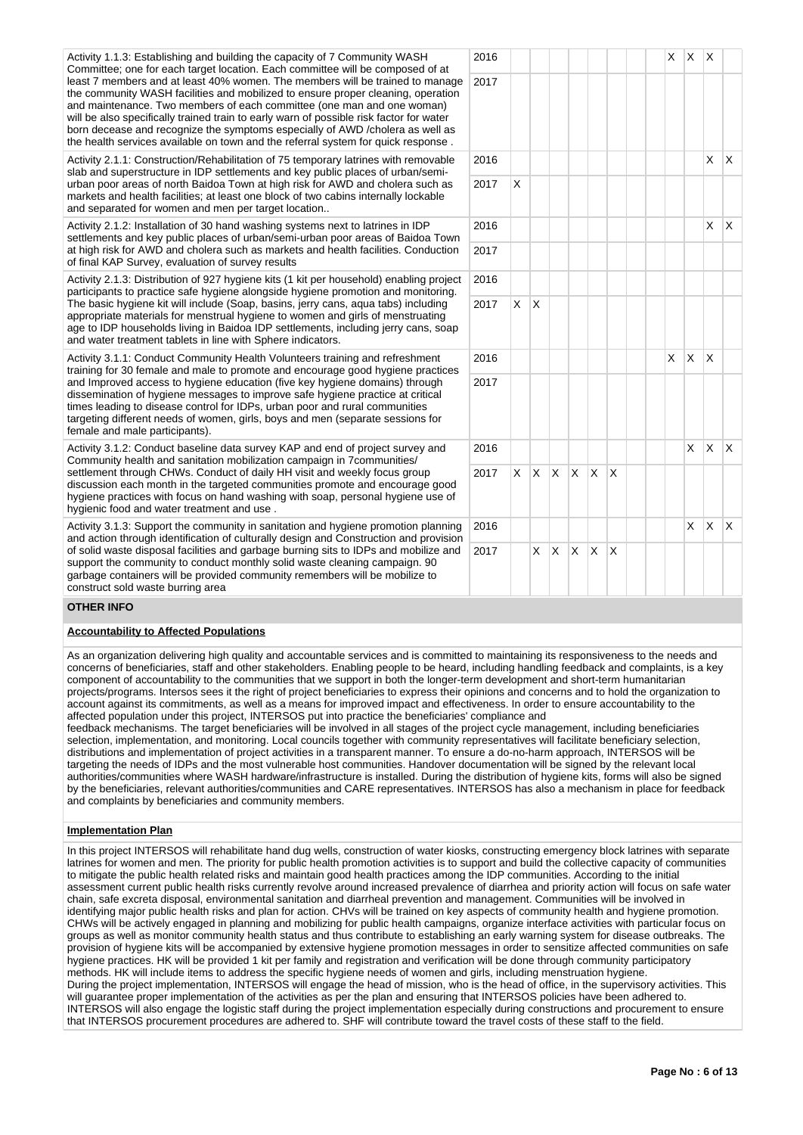Activity 1.1.3: Establishing and building the capacity of 7 Community WASH Committee; one for each target location. Each committee will be composed of at least 7 members and at least 40% women. The members will be trained to manage the community WASH facilities and mobilized to ensure proper cleaning, operation and maintenance. Two members of each committee (one man and one woman) will be also specifically trained train to early warn of possible risk factor for water born decease and recognize the symptoms especially of AWD /cholera as well as the health services available on town and the referral system for quick response .

Activity 2.1.1: Construction/Rehabilitation of 75 temporary latrines with removable slab and superstructure in IDP settlements and key public places of urban/semiurban poor areas of north Baidoa Town at high risk for AWD and cholera such as markets and health facilities; at least one block of two cabins internally lockable and separated for women and men per target location..

Activity 2.1.2: Installation of 30 hand washing systems next to latrines in IDP settlements and key public places of urban/semi-urban poor areas of Baidoa Town at high risk for AWD and cholera such as markets and health facilities. Conduction of final KAP Survey, evaluation of survey results

Activity 2.1.3: Distribution of 927 hygiene kits (1 kit per household) enabling project participants to practice safe hygiene alongside hygiene promotion and monitoring. The basic hygiene kit will include (Soap, basins, jerry cans, aqua tabs) including appropriate materials for menstrual hygiene to women and girls of menstruating age to IDP households living in Baidoa IDP settlements, including jerry cans, soap and water treatment tablets in line with Sphere indicators.

Activity 3.1.1: Conduct Community Health Volunteers training and refreshment training for 30 female and male to promote and encourage good hygiene practices and Improved access to hygiene education (five key hygiene domains) through dissemination of hygiene messages to improve safe hygiene practice at critical times leading to disease control for IDPs, urban poor and rural communities targeting different needs of women, girls, boys and men (separate sessions for female and male participants).

Activity 3.1.2: Conduct baseline data survey KAP and end of project survey and Community health and sanitation mobilization campaign in 7communities/ settlement through CHWs. Conduct of daily HH visit and weekly focus group discussion each month in the targeted communities promote and encourage good hygiene practices with focus on hand washing with soap, personal hygiene use of hygienic food and water treatment and use .

Activity 3.1.3: Support the community in sanitation and hygiene promotion planning and action through identification of culturally design and Construction and provision of solid waste disposal facilities and garbage burning sits to IDPs and mobilize and support the community to conduct monthly solid waste cleaning campaign. 90 garbage containers will be provided community remembers will be mobilize to construct sold waste burring area

| 2016 |                         |   |                |                |             |                         |  | $\mathsf{X}^-$ | $x \mid x$   |             |              |
|------|-------------------------|---|----------------|----------------|-------------|-------------------------|--|----------------|--------------|-------------|--------------|
| 2017 |                         |   |                |                |             |                         |  |                |              |             |              |
| 2016 |                         |   |                |                |             |                         |  |                |              | X           | Χ            |
| 2017 | $\mathsf{\overline{X}}$ |   |                |                |             |                         |  |                |              |             |              |
| 2016 |                         |   |                |                |             |                         |  |                |              | X           | X            |
| 2017 |                         |   |                |                |             |                         |  |                |              |             |              |
| 2016 |                         |   |                |                |             |                         |  |                |              |             |              |
| 2017 | X                       | X |                |                |             |                         |  |                |              |             |              |
| 2016 |                         |   |                |                |             |                         |  | $\mathsf{X}$   | $\mathsf{X}$ | $\mathsf X$ |              |
| 2017 |                         |   |                |                |             |                         |  |                |              |             |              |
| 2016 |                         |   |                |                |             |                         |  |                | X            | $\mathsf X$ | $\mathsf{x}$ |
| 2017 | $\mathsf{X}$            | X | $\mathsf{X}$   | $\mathsf{X}^-$ | $\mathsf X$ | $\mathsf{X}$            |  |                |              |             |              |
| 2016 |                         |   |                |                |             |                         |  |                | X.           | X           | Χ            |
| 2017 |                         | X | $\mathsf{X}^-$ | $\mathsf{X}^-$ | $\mathsf X$ | $\overline{\mathsf{x}}$ |  |                |              |             |              |

### **OTHER INFO**

### **Accountability to Affected Populations**

As an organization delivering high quality and accountable services and is committed to maintaining its responsiveness to the needs and concerns of beneficiaries, staff and other stakeholders. Enabling people to be heard, including handling feedback and complaints, is a key component of accountability to the communities that we support in both the longer-term development and short-term humanitarian projects/programs. Intersos sees it the right of project beneficiaries to express their opinions and concerns and to hold the organization to account against its commitments, as well as a means for improved impact and effectiveness. In order to ensure accountability to the affected population under this project, INTERSOS put into practice the beneficiaries' compliance and

feedback mechanisms. The target beneficiaries will be involved in all stages of the project cycle management, including beneficiaries selection, implementation, and monitoring. Local councils together with community representatives will facilitate beneficiary selection, distributions and implementation of project activities in a transparent manner. To ensure a do-no-harm approach, INTERSOS will be targeting the needs of IDPs and the most vulnerable host communities. Handover documentation will be signed by the relevant local authorities/communities where WASH hardware/infrastructure is installed. During the distribution of hygiene kits, forms will also be signed by the beneficiaries, relevant authorities/communities and CARE representatives. INTERSOS has also a mechanism in place for feedback and complaints by beneficiaries and community members.

### **Implementation Plan**

In this project INTERSOS will rehabilitate hand dug wells, construction of water kiosks, constructing emergency block latrines with separate latrines for women and men. The priority for public health promotion activities is to support and build the collective capacity of communities to mitigate the public health related risks and maintain good health practices among the IDP communities. According to the initial assessment current public health risks currently revolve around increased prevalence of diarrhea and priority action will focus on safe water chain, safe excreta disposal, environmental sanitation and diarrheal prevention and management. Communities will be involved in identifying major public health risks and plan for action. CHVs will be trained on key aspects of community health and hygiene promotion. CHWs will be actively engaged in planning and mobilizing for public health campaigns, organize interface activities with particular focus on groups as well as monitor community health status and thus contribute to establishing an early warning system for disease outbreaks. The provision of hygiene kits will be accompanied by extensive hygiene promotion messages in order to sensitize affected communities on safe hygiene practices. HK will be provided 1 kit per family and registration and verification will be done through community participatory methods. HK will include items to address the specific hygiene needs of women and girls, including menstruation hygiene. During the project implementation, INTERSOS will engage the head of mission, who is the head of office, in the supervisory activities. This will guarantee proper implementation of the activities as per the plan and ensuring that INTERSOS policies have been adhered to. INTERSOS will also engage the logistic staff during the project implementation especially during constructions and procurement to ensure that INTERSOS procurement procedures are adhered to. SHF will contribute toward the travel costs of these staff to the field.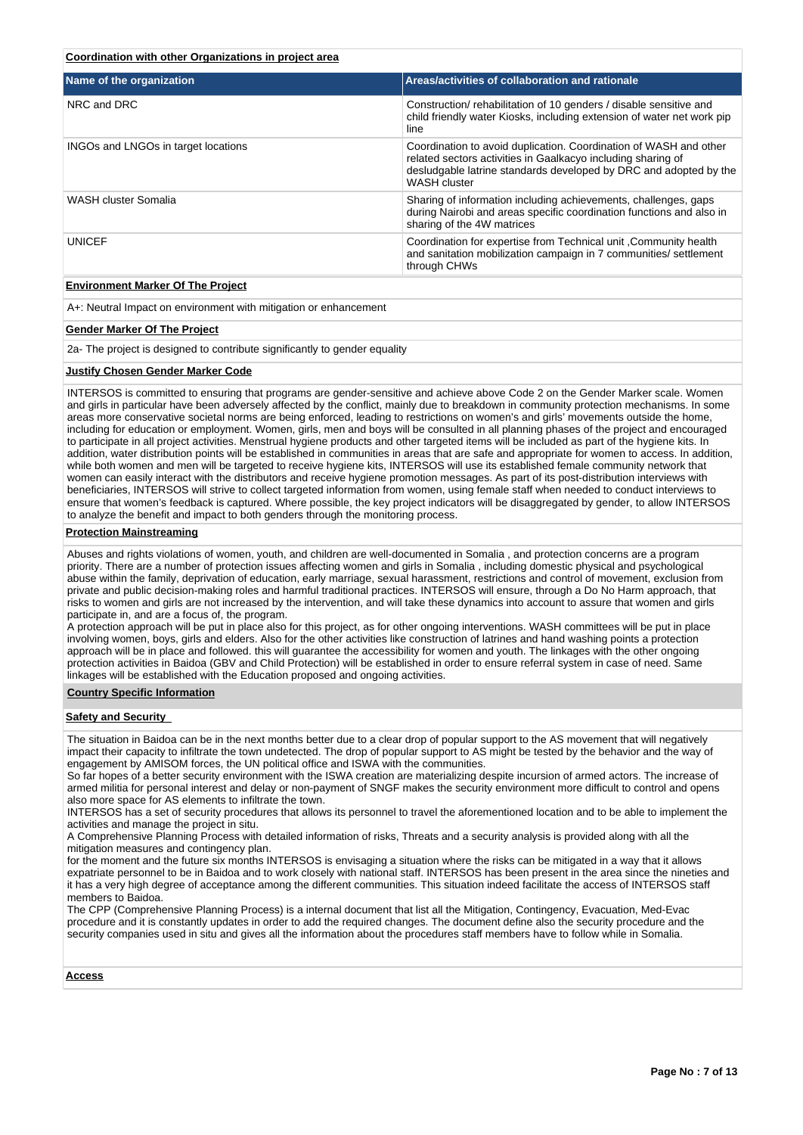### **Coordination with other Organizations in project area**

| Name of the organization            | Areas/activities of collaboration and rationale                                                                                                                                                                               |
|-------------------------------------|-------------------------------------------------------------------------------------------------------------------------------------------------------------------------------------------------------------------------------|
| NRC and DRC                         | Construction/rehabilitation of 10 genders / disable sensitive and<br>child friendly water Kiosks, including extension of water net work pip<br>line                                                                           |
| INGOs and LNGOs in target locations | Coordination to avoid duplication. Coordination of WASH and other<br>related sectors activities in Gaalkacyo including sharing of<br>desludgable latrine standards developed by DRC and adopted by the<br><b>WASH cluster</b> |
| WASH cluster Somalia                | Sharing of information including achievements, challenges, gaps<br>during Nairobi and areas specific coordination functions and also in<br>sharing of the 4W matrices                                                         |
| <b>UNICEF</b>                       | Coordination for expertise from Technical unit , Community health<br>and sanitation mobilization campaign in 7 communities/ settlement<br>through CHWs                                                                        |
|                                     |                                                                                                                                                                                                                               |

### **Environment Marker Of The Project**

A+: Neutral Impact on environment with mitigation or enhancement

### **Gender Marker Of The Project**

2a- The project is designed to contribute significantly to gender equality

#### **Justify Chosen Gender Marker Code**

INTERSOS is committed to ensuring that programs are gender-sensitive and achieve above Code 2 on the Gender Marker scale. Women and girls in particular have been adversely affected by the conflict, mainly due to breakdown in community protection mechanisms. In some areas more conservative societal norms are being enforced, leading to restrictions on women's and girls' movements outside the home, including for education or employment. Women, girls, men and boys will be consulted in all planning phases of the project and encouraged to participate in all project activities. Menstrual hygiene products and other targeted items will be included as part of the hygiene kits. In addition, water distribution points will be established in communities in areas that are safe and appropriate for women to access. In addition, while both women and men will be targeted to receive hygiene kits, INTERSOS will use its established female community network that women can easily interact with the distributors and receive hygiene promotion messages. As part of its post-distribution interviews with beneficiaries, INTERSOS will strive to collect targeted information from women, using female staff when needed to conduct interviews to ensure that women's feedback is captured. Where possible, the key project indicators will be disaggregated by gender, to allow INTERSOS to analyze the benefit and impact to both genders through the monitoring process.

#### **Protection Mainstreaming**

Abuses and rights violations of women, youth, and children are well-documented in Somalia , and protection concerns are a program priority. There are a number of protection issues affecting women and girls in Somalia , including domestic physical and psychological abuse within the family, deprivation of education, early marriage, sexual harassment, restrictions and control of movement, exclusion from private and public decision-making roles and harmful traditional practices. INTERSOS will ensure, through a Do No Harm approach, that risks to women and girls are not increased by the intervention, and will take these dynamics into account to assure that women and girls participate in, and are a focus of, the program.

A protection approach will be put in place also for this project, as for other ongoing interventions. WASH committees will be put in place involving women, boys, girls and elders. Also for the other activities like construction of latrines and hand washing points a protection approach will be in place and followed. this will guarantee the accessibility for women and youth. The linkages with the other ongoing protection activities in Baidoa (GBV and Child Protection) will be established in order to ensure referral system in case of need. Same linkages will be established with the Education proposed and ongoing activities.

#### **Country Specific Information**

#### **Safety and Security**

The situation in Baidoa can be in the next months better due to a clear drop of popular support to the AS movement that will negatively impact their capacity to infiltrate the town undetected. The drop of popular support to AS might be tested by the behavior and the way of engagement by AMISOM forces, the UN political office and ISWA with the communities.

So far hopes of a better security environment with the ISWA creation are materializing despite incursion of armed actors. The increase of armed militia for personal interest and delay or non-payment of SNGF makes the security environment more difficult to control and opens also more space for AS elements to infiltrate the town.

INTERSOS has a set of security procedures that allows its personnel to travel the aforementioned location and to be able to implement the activities and manage the project in situ.

A Comprehensive Planning Process with detailed information of risks, Threats and a security analysis is provided along with all the mitigation measures and contingency plan.

for the moment and the future six months INTERSOS is envisaging a situation where the risks can be mitigated in a way that it allows expatriate personnel to be in Baidoa and to work closely with national staff. INTERSOS has been present in the area since the nineties and it has a very high degree of acceptance among the different communities. This situation indeed facilitate the access of INTERSOS staff members to Baidoa.

The CPP (Comprehensive Planning Process) is a internal document that list all the Mitigation, Contingency, Evacuation, Med-Evac procedure and it is constantly updates in order to add the required changes. The document define also the security procedure and the security companies used in situ and gives all the information about the procedures staff members have to follow while in Somalia.

#### **Access**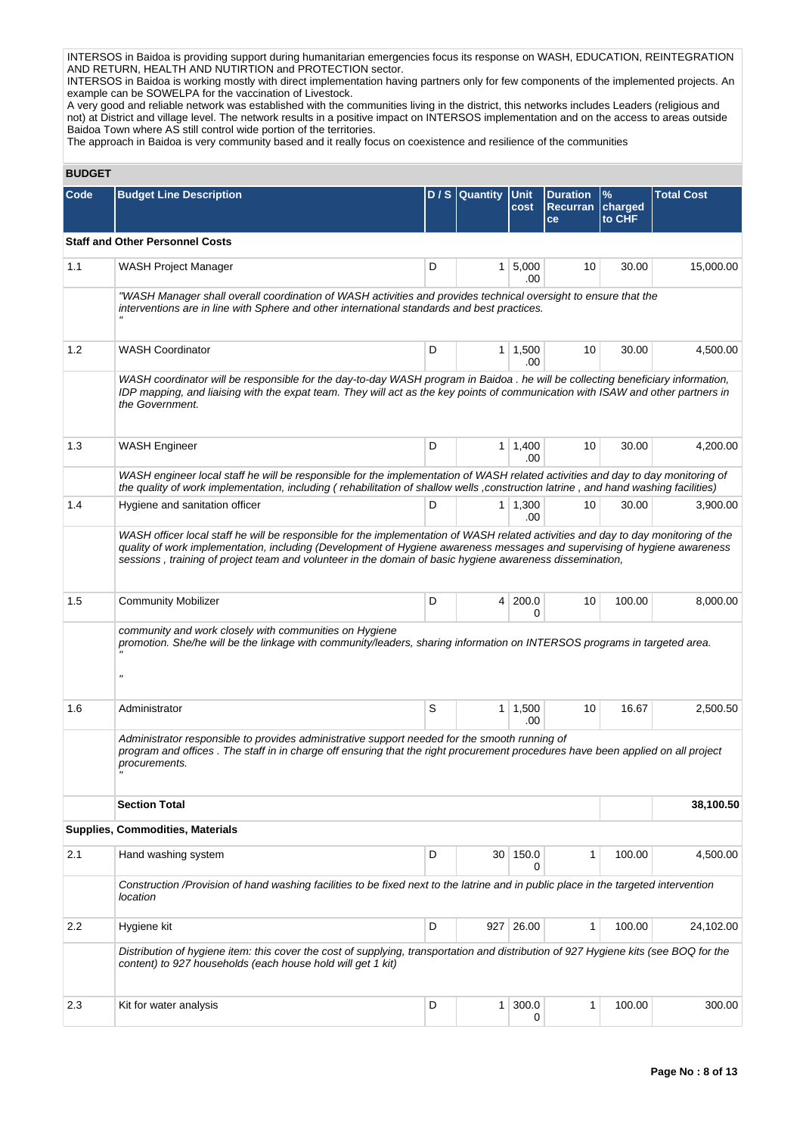INTERSOS in Baidoa is providing support during humanitarian emergencies focus its response on WASH, EDUCATION, REINTEGRATION AND RETURN, HEALTH AND NUTIRTION and PROTECTION sector.

INTERSOS in Baidoa is working mostly with direct implementation having partners only for few components of the implemented projects. An example can be SOWELPA for the vaccination of Livestock.

A very good and reliable network was established with the communities living in the district, this networks includes Leaders (religious and not) at District and village level. The network results in a positive impact on INTERSOS implementation and on the access to areas outside Baidoa Town where AS still control wide portion of the territories.

The approach in Baidoa is very community based and it really focus on coexistence and resilience of the communities

# **BUDGET**

| Code | <b>Budget Line Description</b>                                                                                                                                                                                                                                                                                                                                              |   | D / S Quantity Unit | cost                  | <b>Duration</b><br><b>Recurran</b> | $\frac{9}{6}$<br>charged | <b>Total Cost</b> |
|------|-----------------------------------------------------------------------------------------------------------------------------------------------------------------------------------------------------------------------------------------------------------------------------------------------------------------------------------------------------------------------------|---|---------------------|-----------------------|------------------------------------|--------------------------|-------------------|
|      |                                                                                                                                                                                                                                                                                                                                                                             |   |                     |                       | ce                                 | to CHF                   |                   |
|      | <b>Staff and Other Personnel Costs</b>                                                                                                                                                                                                                                                                                                                                      |   |                     |                       |                                    |                          |                   |
| 1.1  | WASH Project Manager                                                                                                                                                                                                                                                                                                                                                        | D |                     | $1 \, 5,000$<br>.00   | 10                                 | 30.00                    | 15,000.00         |
|      | "WASH Manager shall overall coordination of WASH activities and provides technical oversight to ensure that the<br>interventions are in line with Sphere and other international standards and best practices.                                                                                                                                                              |   |                     |                       |                                    |                          |                   |
| 1.2  | <b>WASH Coordinator</b>                                                                                                                                                                                                                                                                                                                                                     | D |                     | $1 \mid 1,500$<br>.00 | 10                                 | 30.00                    | 4,500.00          |
|      | WASH coordinator will be responsible for the day-to-day WASH program in Baidoa . he will be collecting beneficiary information,<br>IDP mapping, and liaising with the expat team. They will act as the key points of communication with ISAW and other partners in<br>the Government.                                                                                       |   |                     |                       |                                    |                          |                   |
| 1.3  | <b>WASH Engineer</b>                                                                                                                                                                                                                                                                                                                                                        | D |                     | $1 \mid 1,400$<br>.00 | 10                                 | 30.00                    | 4,200.00          |
|      | WASH engineer local staff he will be responsible for the implementation of WASH related activities and day to day monitoring of<br>the quality of work implementation, including (rehabilitation of shallow wells, construction latrine, and hand washing facilities)                                                                                                       |   |                     |                       |                                    |                          |                   |
| 1.4  | Hygiene and sanitation officer                                                                                                                                                                                                                                                                                                                                              | D |                     | $1 \mid 1,300$<br>.00 | 10                                 | 30.00                    | 3,900.00          |
|      | WASH officer local staff he will be responsible for the implementation of WASH related activities and day to day monitoring of the<br>quality of work implementation, including (Development of Hygiene awareness messages and supervising of hygiene awareness<br>sessions, training of project team and volunteer in the domain of basic hygiene awareness dissemination, |   |                     |                       |                                    |                          |                   |
| 1.5  | <b>Community Mobilizer</b>                                                                                                                                                                                                                                                                                                                                                  | D |                     | 4 200.0<br>0          | 10                                 | 100.00                   | 8,000.00          |
|      | community and work closely with communities on Hygiene<br>promotion. She/he will be the linkage with community/leaders, sharing information on INTERSOS programs in targeted area.<br>$\boldsymbol{\mathsf{u}}$                                                                                                                                                             |   |                     |                       |                                    |                          |                   |
| 1.6  | Administrator                                                                                                                                                                                                                                                                                                                                                               | S |                     | 1   1,500<br>.00      | 10                                 | 16.67                    | 2,500.50          |
|      | Administrator responsible to provides administrative support needed for the smooth running of<br>program and offices. The staff in in charge off ensuring that the right procurement procedures have been applied on all project<br>procurements.                                                                                                                           |   |                     |                       |                                    |                          |                   |
|      | <b>Section Total</b>                                                                                                                                                                                                                                                                                                                                                        |   |                     |                       |                                    |                          | 38,100.50         |
|      | Supplies, Commodities, Materials                                                                                                                                                                                                                                                                                                                                            |   |                     |                       |                                    |                          |                   |
| 2.1  | Hand washing system                                                                                                                                                                                                                                                                                                                                                         | D | 30 <sup>1</sup>     | 150.0<br>0            | 1                                  | 100.00                   | 4,500.00          |
|      | Construction /Provision of hand washing facilities to be fixed next to the latrine and in public place in the targeted intervention<br>location                                                                                                                                                                                                                             |   |                     |                       |                                    |                          |                   |
| 2.2  | Hygiene kit                                                                                                                                                                                                                                                                                                                                                                 | D |                     | 927 26.00             | 1                                  | 100.00                   | 24,102.00         |
|      | Distribution of hygiene item: this cover the cost of supplying, transportation and distribution of 927 Hygiene kits (see BOQ for the<br>content) to 927 households (each house hold will get 1 kit)                                                                                                                                                                         |   |                     |                       |                                    |                          |                   |
| 2.3  | Kit for water analysis                                                                                                                                                                                                                                                                                                                                                      | D | 1 <sub>1</sub>      | 300.0<br>0            | 1                                  | 100.00                   | 300.00            |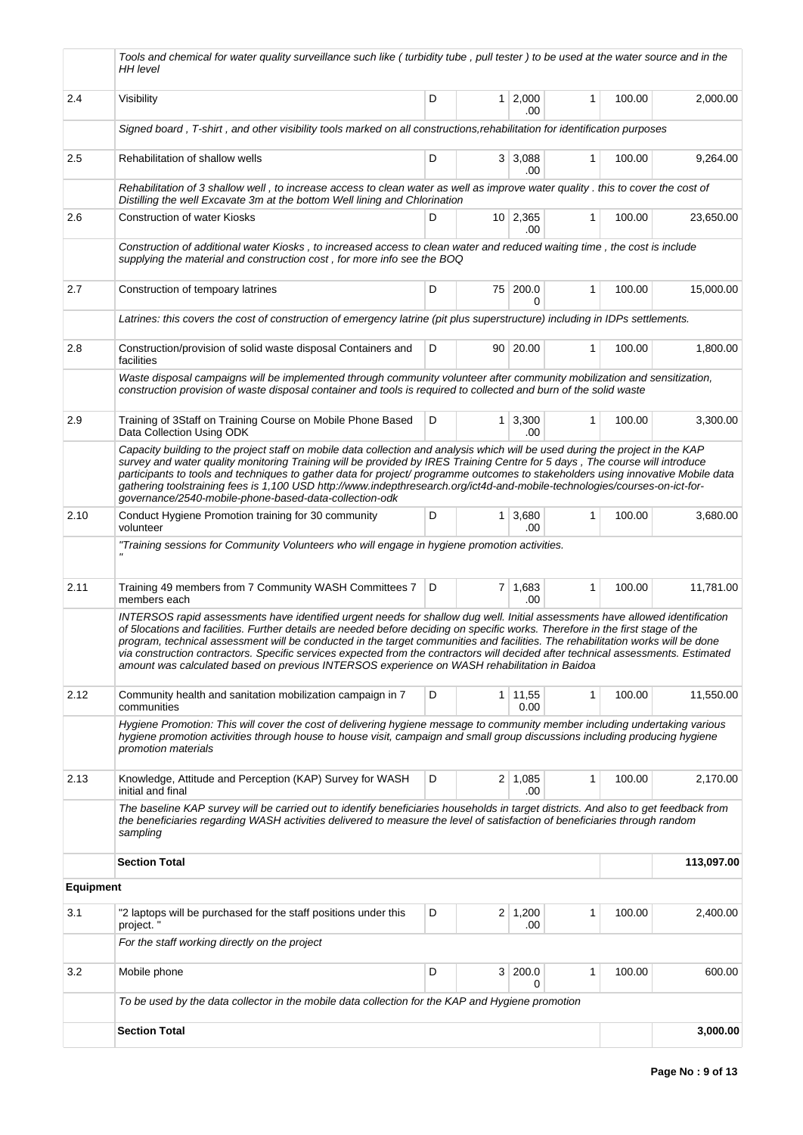|                  | Tools and chemical for water quality surveillance such like (turbidity tube, pull tester) to be used at the water source and in the<br>HH level                                                                                                                                                                                                                                                                                                                                                                                                                                                                                          |   |                                                                                                                                                                                                                                                                                                                                                                                               |                       |   |        |            |
|------------------|------------------------------------------------------------------------------------------------------------------------------------------------------------------------------------------------------------------------------------------------------------------------------------------------------------------------------------------------------------------------------------------------------------------------------------------------------------------------------------------------------------------------------------------------------------------------------------------------------------------------------------------|---|-----------------------------------------------------------------------------------------------------------------------------------------------------------------------------------------------------------------------------------------------------------------------------------------------------------------------------------------------------------------------------------------------|-----------------------|---|--------|------------|
| 2.4              | Visibility                                                                                                                                                                                                                                                                                                                                                                                                                                                                                                                                                                                                                               | D |                                                                                                                                                                                                                                                                                                                                                                                               | .00                   | 1 | 100.00 | 2,000.00   |
|                  | Signed board, T-shirt, and other visibility tools marked on all constructions, rehabilitation for identification purposes                                                                                                                                                                                                                                                                                                                                                                                                                                                                                                                |   |                                                                                                                                                                                                                                                                                                                                                                                               |                       |   |        |            |
| 2.5              | Rehabilitation of shallow wells                                                                                                                                                                                                                                                                                                                                                                                                                                                                                                                                                                                                          | D | $1 \quad 2,000$<br>3 3,088<br>1<br>100.00<br>.00<br>$10 \mid 2,365$<br>$\mathbf{1}$<br>100.00<br>.00<br>75 200.0<br>1<br>100.00<br>90   20.00<br>100.00<br>1<br>$1 \, 3,300$<br>100.00<br>1<br>.00<br>$1 \overline{\smash{)}3,680}$<br>1<br>100.00<br>.00<br>$7 \mid 1,683$<br>$\mathbf{1}$<br>100.00<br>.00<br>1<br>$1 \mid 11,55$<br>100.00<br>0.00<br>$2 \mid 1,085$<br>1<br>100.00<br>.00 | 9,264.00              |   |        |            |
|                  | Rehabilitation of 3 shallow well, to increase access to clean water as well as improve water quality. this to cover the cost of<br>Distilling the well Excavate 3m at the bottom Well lining and Chlorination                                                                                                                                                                                                                                                                                                                                                                                                                            |   |                                                                                                                                                                                                                                                                                                                                                                                               |                       |   |        |            |
| 2.6              | <b>Construction of water Kiosks</b>                                                                                                                                                                                                                                                                                                                                                                                                                                                                                                                                                                                                      | D |                                                                                                                                                                                                                                                                                                                                                                                               |                       |   |        | 23,650.00  |
|                  | Construction of additional water Kiosks, to increased access to clean water and reduced waiting time, the cost is include<br>supplying the material and construction cost, for more info see the BOQ                                                                                                                                                                                                                                                                                                                                                                                                                                     |   |                                                                                                                                                                                                                                                                                                                                                                                               |                       |   |        |            |
| 2.7              | Construction of tempoary latrines                                                                                                                                                                                                                                                                                                                                                                                                                                                                                                                                                                                                        | D |                                                                                                                                                                                                                                                                                                                                                                                               |                       |   |        | 15,000.00  |
|                  | Latrines: this covers the cost of construction of emergency latrine (pit plus superstructure) including in IDPs settlements.                                                                                                                                                                                                                                                                                                                                                                                                                                                                                                             |   |                                                                                                                                                                                                                                                                                                                                                                                               |                       |   |        |            |
| 2.8              | Construction/provision of solid waste disposal Containers and<br>facilities                                                                                                                                                                                                                                                                                                                                                                                                                                                                                                                                                              | D |                                                                                                                                                                                                                                                                                                                                                                                               |                       |   |        | 1,800.00   |
|                  | Waste disposal campaigns will be implemented through community volunteer after community mobilization and sensitization,<br>construction provision of waste disposal container and tools is required to collected and burn of the solid waste                                                                                                                                                                                                                                                                                                                                                                                            |   |                                                                                                                                                                                                                                                                                                                                                                                               |                       |   |        |            |
| 2.9              | Training of 3Staff on Training Course on Mobile Phone Based<br>Data Collection Using ODK                                                                                                                                                                                                                                                                                                                                                                                                                                                                                                                                                 | D |                                                                                                                                                                                                                                                                                                                                                                                               |                       |   |        | 3,300.00   |
|                  | Capacity building to the project staff on mobile data collection and analysis which will be used during the project in the KAP<br>survey and water quality monitoring Training will be provided by IRES Training Centre for 5 days, The course will introduce<br>participants to tools and techniques to gather data for project/programme outcomes to stakeholders using innovative Mobile data<br>gathering toolstraining fees is 1,100 USD http://www.indepthresearch.org/ict4d-and-mobile-technologies/courses-on-ict-for-<br>governance/2540-mobile-phone-based-data-collection-odk                                                 |   |                                                                                                                                                                                                                                                                                                                                                                                               |                       |   |        |            |
| 2.10             | Conduct Hygiene Promotion training for 30 community<br>volunteer                                                                                                                                                                                                                                                                                                                                                                                                                                                                                                                                                                         | D |                                                                                                                                                                                                                                                                                                                                                                                               |                       |   |        | 3,680.00   |
|                  | "Training sessions for Community Volunteers who will engage in hygiene promotion activities.                                                                                                                                                                                                                                                                                                                                                                                                                                                                                                                                             |   |                                                                                                                                                                                                                                                                                                                                                                                               |                       |   |        |            |
| 2.11             | Training 49 members from 7 Community WASH Committees 7<br>members each                                                                                                                                                                                                                                                                                                                                                                                                                                                                                                                                                                   | D |                                                                                                                                                                                                                                                                                                                                                                                               |                       |   |        | 11,781.00  |
|                  | INTERSOS rapid assessments have identified urgent needs for shallow dug well. Initial assessments have allowed identification<br>of 5locations and facilities. Further details are needed before deciding on specific works. Therefore in the first stage of the<br>program, technical assessment will be conducted in the target communities and facilities. The rehabilitation works will be done<br>via construction contractors. Specific services expected from the contractors will decided after technical assessments. Estimated<br>amount was calculated based on previous INTERSOS experience on WASH rehabilitation in Baidoa |   |                                                                                                                                                                                                                                                                                                                                                                                               |                       |   |        |            |
| 2.12             | Community health and sanitation mobilization campaign in 7<br>communities                                                                                                                                                                                                                                                                                                                                                                                                                                                                                                                                                                | D |                                                                                                                                                                                                                                                                                                                                                                                               |                       |   |        | 11,550.00  |
|                  | Hygiene Promotion: This will cover the cost of delivering hygiene message to community member including undertaking various<br>hygiene promotion activities through house to house visit, campaign and small group discussions including producing hygiene<br>promotion materials                                                                                                                                                                                                                                                                                                                                                        |   |                                                                                                                                                                                                                                                                                                                                                                                               |                       |   |        |            |
| 2.13             | Knowledge, Attitude and Perception (KAP) Survey for WASH<br>initial and final                                                                                                                                                                                                                                                                                                                                                                                                                                                                                                                                                            | D |                                                                                                                                                                                                                                                                                                                                                                                               |                       |   |        | 2,170.00   |
|                  | The baseline KAP survey will be carried out to identify beneficiaries households in target districts. And also to get feedback from<br>the beneficiaries regarding WASH activities delivered to measure the level of satisfaction of beneficiaries through random<br>sampling                                                                                                                                                                                                                                                                                                                                                            |   |                                                                                                                                                                                                                                                                                                                                                                                               |                       |   |        |            |
|                  | <b>Section Total</b>                                                                                                                                                                                                                                                                                                                                                                                                                                                                                                                                                                                                                     |   |                                                                                                                                                                                                                                                                                                                                                                                               |                       |   |        | 113,097.00 |
| <b>Equipment</b> |                                                                                                                                                                                                                                                                                                                                                                                                                                                                                                                                                                                                                                          |   |                                                                                                                                                                                                                                                                                                                                                                                               |                       |   |        |            |
| 3.1              | "2 laptops will be purchased for the staff positions under this<br>project.'                                                                                                                                                                                                                                                                                                                                                                                                                                                                                                                                                             | D |                                                                                                                                                                                                                                                                                                                                                                                               | $2 \mid 1,200$<br>.00 | 1 | 100.00 | 2,400.00   |
|                  | For the staff working directly on the project                                                                                                                                                                                                                                                                                                                                                                                                                                                                                                                                                                                            |   |                                                                                                                                                                                                                                                                                                                                                                                               |                       |   |        |            |
| 3.2              | Mobile phone                                                                                                                                                                                                                                                                                                                                                                                                                                                                                                                                                                                                                             | D |                                                                                                                                                                                                                                                                                                                                                                                               | 3 200.0<br>0          | 1 | 100.00 | 600.00     |
|                  | To be used by the data collector in the mobile data collection for the KAP and Hygiene promotion                                                                                                                                                                                                                                                                                                                                                                                                                                                                                                                                         |   |                                                                                                                                                                                                                                                                                                                                                                                               |                       |   |        |            |
|                  | <b>Section Total</b>                                                                                                                                                                                                                                                                                                                                                                                                                                                                                                                                                                                                                     |   |                                                                                                                                                                                                                                                                                                                                                                                               |                       |   |        | 3,000.00   |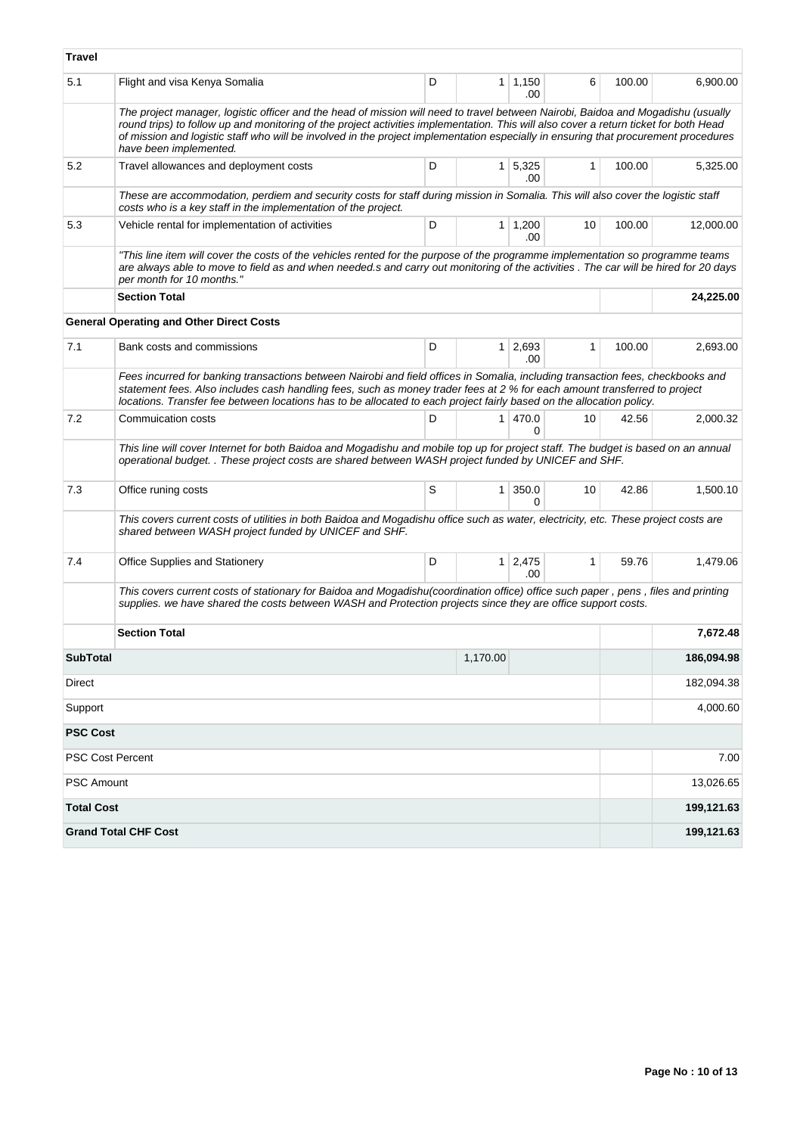| Travel                  |                                                                                                                                                                                                                                                                                                                                                                                                                                            |   |                |                       |              |        |            |
|-------------------------|--------------------------------------------------------------------------------------------------------------------------------------------------------------------------------------------------------------------------------------------------------------------------------------------------------------------------------------------------------------------------------------------------------------------------------------------|---|----------------|-----------------------|--------------|--------|------------|
| 5.1                     | Flight and visa Kenya Somalia                                                                                                                                                                                                                                                                                                                                                                                                              | D | 1              | 1,150<br>.00          | 6            | 100.00 | 6,900.00   |
|                         | The project manager, logistic officer and the head of mission will need to travel between Nairobi, Baidoa and Mogadishu (usually<br>round trips) to follow up and monitoring of the project activities implementation. This will also cover a return ticket for both Head<br>of mission and logistic staff who will be involved in the project implementation especially in ensuring that procurement procedures<br>have been implemented. |   |                |                       |              |        |            |
| 5.2                     | Travel allowances and deployment costs                                                                                                                                                                                                                                                                                                                                                                                                     | D | 1 <sup>1</sup> | 5,325<br>.00          | 1            | 100.00 | 5,325.00   |
|                         | These are accommodation, perdiem and security costs for staff during mission in Somalia. This will also cover the logistic staff<br>costs who is a key staff in the implementation of the project.                                                                                                                                                                                                                                         |   |                |                       |              |        |            |
| 5.3                     | Vehicle rental for implementation of activities                                                                                                                                                                                                                                                                                                                                                                                            | D |                | $1 \mid 1,200$<br>.00 | 10           | 100.00 | 12,000.00  |
|                         | "This line item will cover the costs of the vehicles rented for the purpose of the programme implementation so programme teams<br>are always able to move to field as and when needed.s and carry out monitoring of the activities. The car will be hired for 20 days<br>per month for 10 months."                                                                                                                                         |   |                |                       |              |        |            |
|                         | <b>Section Total</b>                                                                                                                                                                                                                                                                                                                                                                                                                       |   |                |                       |              |        | 24,225.00  |
|                         | <b>General Operating and Other Direct Costs</b>                                                                                                                                                                                                                                                                                                                                                                                            |   |                |                       |              |        |            |
| 7.1                     | Bank costs and commissions                                                                                                                                                                                                                                                                                                                                                                                                                 | D |                | $1 \mid 2,693$<br>.00 | 1            | 100.00 | 2,693.00   |
|                         | Fees incurred for banking transactions between Nairobi and field offices in Somalia, including transaction fees, checkbooks and<br>statement fees. Also includes cash handling fees, such as money trader fees at 2 % for each amount transferred to project<br>locations. Transfer fee between locations has to be allocated to each project fairly based on the allocation policy.                                                       |   |                |                       |              |        |            |
| 7.2                     | Commuication costs                                                                                                                                                                                                                                                                                                                                                                                                                         | D | 1              | 470.0<br>0            | 10           | 42.56  | 2,000.32   |
|                         | This line will cover Internet for both Baidoa and Mogadishu and mobile top up for project staff. The budget is based on an annual<br>operational budget. . These project costs are shared between WASH project funded by UNICEF and SHF.                                                                                                                                                                                                   |   |                |                       |              |        |            |
| 7.3                     | Office runing costs                                                                                                                                                                                                                                                                                                                                                                                                                        | S | 1 <sup>1</sup> | 350.0<br><sup>0</sup> | 10           | 42.86  | 1,500.10   |
|                         | This covers current costs of utilities in both Baidoa and Mogadishu office such as water, electricity, etc. These project costs are<br>shared between WASH project funded by UNICEF and SHF.                                                                                                                                                                                                                                               |   |                |                       |              |        |            |
| 7.4                     | <b>Office Supplies and Stationery</b>                                                                                                                                                                                                                                                                                                                                                                                                      | D | 1 <sup>1</sup> | 2,475<br>.00          | $\mathbf{1}$ | 59.76  | 1,479.06   |
|                         | This covers current costs of stationary for Baidoa and Mogadishu(coordination office) office such paper, pens, files and printing<br>supplies, we have shared the costs between WASH and Protection projects since they are office support costs.                                                                                                                                                                                          |   |                |                       |              |        |            |
|                         | <b>Section Total</b>                                                                                                                                                                                                                                                                                                                                                                                                                       |   |                |                       |              |        | 7,672.48   |
| <b>SubTotal</b>         |                                                                                                                                                                                                                                                                                                                                                                                                                                            |   | 1,170.00       |                       |              |        | 186,094.98 |
| Direct                  |                                                                                                                                                                                                                                                                                                                                                                                                                                            |   |                |                       |              |        | 182,094.38 |
| Support                 |                                                                                                                                                                                                                                                                                                                                                                                                                                            |   |                |                       |              |        | 4,000.60   |
| <b>PSC Cost</b>         |                                                                                                                                                                                                                                                                                                                                                                                                                                            |   |                |                       |              |        |            |
| <b>PSC Cost Percent</b> |                                                                                                                                                                                                                                                                                                                                                                                                                                            |   |                |                       |              |        | 7.00       |
| PSC Amount              |                                                                                                                                                                                                                                                                                                                                                                                                                                            |   |                |                       |              |        | 13,026.65  |
| <b>Total Cost</b>       |                                                                                                                                                                                                                                                                                                                                                                                                                                            |   |                |                       |              |        | 199,121.63 |
|                         | <b>Grand Total CHF Cost</b>                                                                                                                                                                                                                                                                                                                                                                                                                |   |                |                       |              |        | 199,121.63 |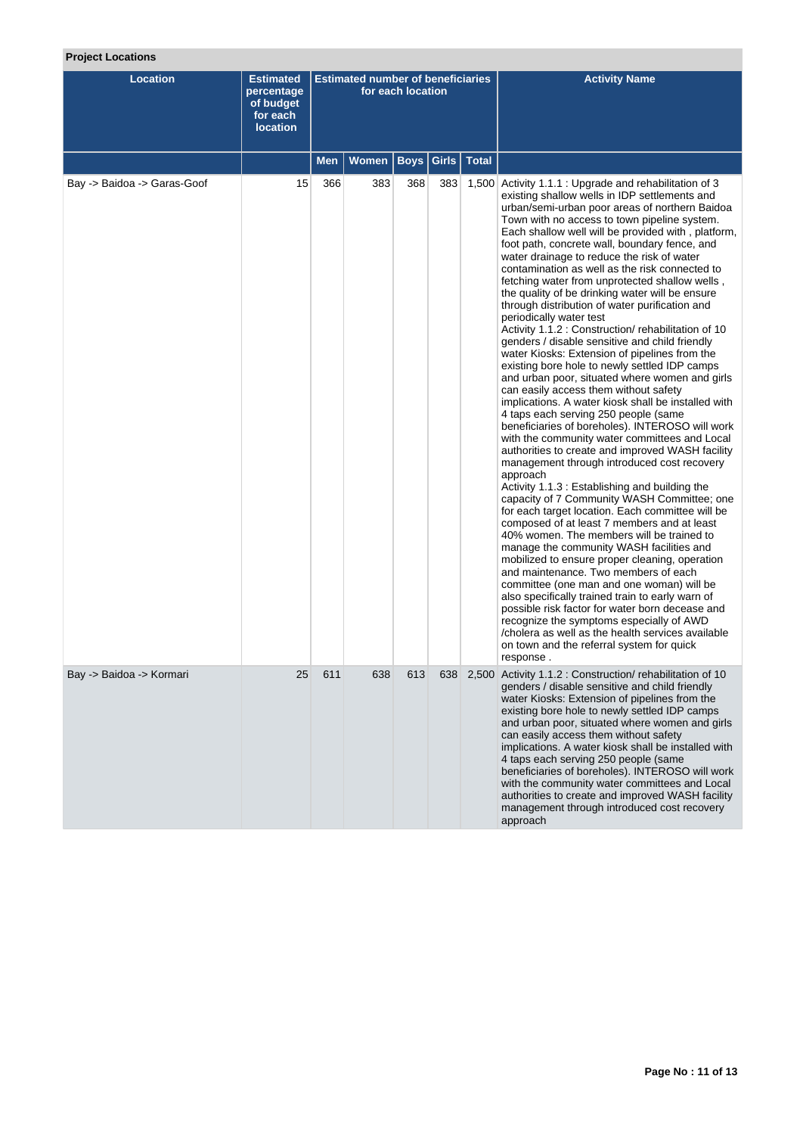# **Project Locations**

| <b>Location</b>             | <b>Estimated</b><br>percentage<br>of budget<br>for each<br><b>location</b> |     | <b>Estimated number of beneficiaries</b> | for each location |       |              | <b>Activity Name</b>                                                                                                                                                                                                                                                                                                                                                                                                                                                                                                                                                                                                                                                                                                                                                                                                                                                                                                                                                                                                                                                                                                                                                                                                                                                                                                                                                                                                                                                                                                                                                                                                                                                                                                                                                                                                                                                                                                            |
|-----------------------------|----------------------------------------------------------------------------|-----|------------------------------------------|-------------------|-------|--------------|---------------------------------------------------------------------------------------------------------------------------------------------------------------------------------------------------------------------------------------------------------------------------------------------------------------------------------------------------------------------------------------------------------------------------------------------------------------------------------------------------------------------------------------------------------------------------------------------------------------------------------------------------------------------------------------------------------------------------------------------------------------------------------------------------------------------------------------------------------------------------------------------------------------------------------------------------------------------------------------------------------------------------------------------------------------------------------------------------------------------------------------------------------------------------------------------------------------------------------------------------------------------------------------------------------------------------------------------------------------------------------------------------------------------------------------------------------------------------------------------------------------------------------------------------------------------------------------------------------------------------------------------------------------------------------------------------------------------------------------------------------------------------------------------------------------------------------------------------------------------------------------------------------------------------------|
|                             |                                                                            | Men | Women                                    | <b>Boys</b>       | Girls | <b>Total</b> |                                                                                                                                                                                                                                                                                                                                                                                                                                                                                                                                                                                                                                                                                                                                                                                                                                                                                                                                                                                                                                                                                                                                                                                                                                                                                                                                                                                                                                                                                                                                                                                                                                                                                                                                                                                                                                                                                                                                 |
| Bay -> Baidoa -> Garas-Goof | 15                                                                         | 366 | 383                                      | 368               | 383   |              | 1,500 Activity 1.1.1 : Upgrade and rehabilitation of 3<br>existing shallow wells in IDP settlements and<br>urban/semi-urban poor areas of northern Baidoa<br>Town with no access to town pipeline system.<br>Each shallow well will be provided with, platform,<br>foot path, concrete wall, boundary fence, and<br>water drainage to reduce the risk of water<br>contamination as well as the risk connected to<br>fetching water from unprotected shallow wells,<br>the quality of be drinking water will be ensure<br>through distribution of water purification and<br>periodically water test<br>Activity 1.1.2 : Construction/rehabilitation of 10<br>genders / disable sensitive and child friendly<br>water Kiosks: Extension of pipelines from the<br>existing bore hole to newly settled IDP camps<br>and urban poor, situated where women and girls<br>can easily access them without safety<br>implications. A water kiosk shall be installed with<br>4 taps each serving 250 people (same<br>beneficiaries of boreholes). INTEROSO will work<br>with the community water committees and Local<br>authorities to create and improved WASH facility<br>management through introduced cost recovery<br>approach<br>Activity 1.1.3 : Establishing and building the<br>capacity of 7 Community WASH Committee; one<br>for each target location. Each committee will be<br>composed of at least 7 members and at least<br>40% women. The members will be trained to<br>manage the community WASH facilities and<br>mobilized to ensure proper cleaning, operation<br>and maintenance. Two members of each<br>committee (one man and one woman) will be<br>also specifically trained train to early warn of<br>possible risk factor for water born decease and<br>recognize the symptoms especially of AWD<br>/cholera as well as the health services available<br>on town and the referral system for quick<br>response. |
| Bay -> Baidoa -> Kormari    | 25                                                                         | 611 | 638                                      | 613               |       |              | 638 2,500 Activity 1.1.2 : Construction/rehabilitation of 10<br>genders / disable sensitive and child friendly<br>water Kiosks: Extension of pipelines from the<br>existing bore hole to newly settled IDP camps<br>and urban poor, situated where women and girls<br>can easily access them without safety<br>implications. A water kiosk shall be installed with<br>4 taps each serving 250 people (same<br>beneficiaries of boreholes). INTEROSO will work<br>with the community water committees and Local<br>authorities to create and improved WASH facility<br>management through introduced cost recovery<br>approach                                                                                                                                                                                                                                                                                                                                                                                                                                                                                                                                                                                                                                                                                                                                                                                                                                                                                                                                                                                                                                                                                                                                                                                                                                                                                                   |